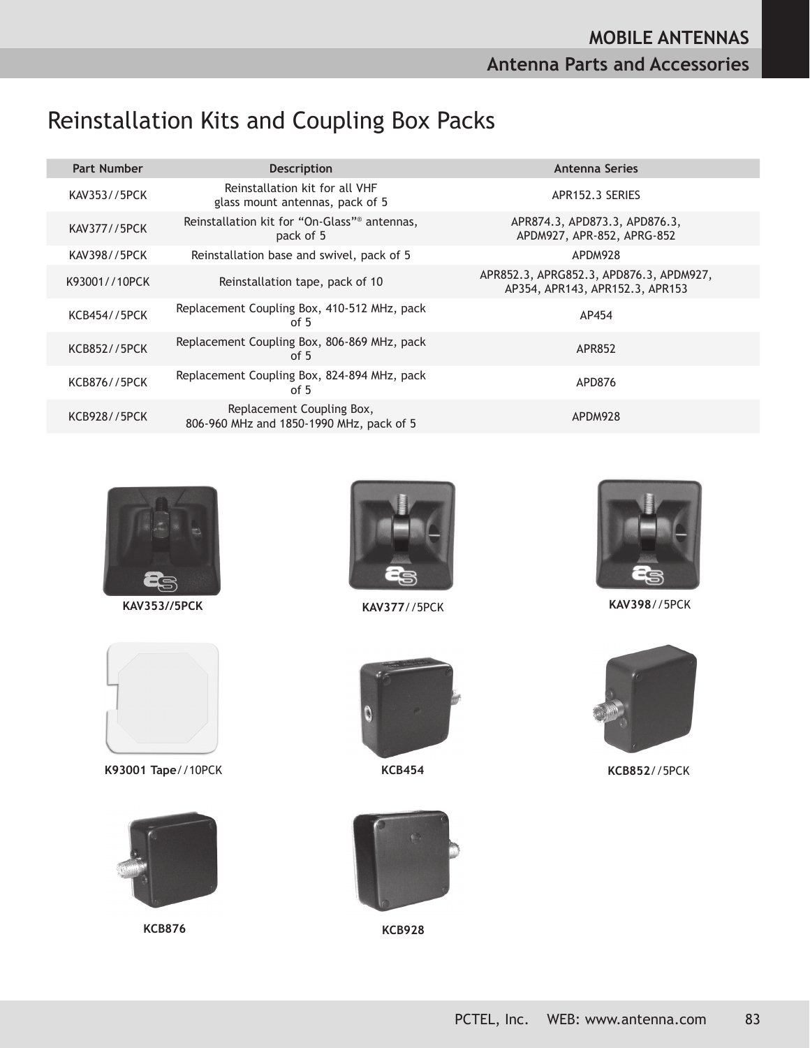## Reinstallation Kits and Coupling Box Packs

| <b>Part Number</b>  | <b>Description</b>                                                    | Antenna Series                                                             |
|---------------------|-----------------------------------------------------------------------|----------------------------------------------------------------------------|
| KAV353//5PCK        | Reinstallation kit for all VHF<br>glass mount antennas, pack of 5     | APR152.3 SERIES                                                            |
| KAV377//5PCK        | Reinstallation kit for "On-Glass" <sup>®</sup> antennas,<br>pack of 5 | APR874.3, APD873.3, APD876.3,<br>APDM927, APR-852, APRG-852                |
| KAV398//5PCK        | Reinstallation base and swivel, pack of 5                             | APDM928                                                                    |
| K93001//10PCK       | Reinstallation tape, pack of 10                                       | APR852.3, APRG852.3, APD876.3, APDM927,<br>AP354, APR143, APR152.3, APR153 |
| <b>KCB454//5PCK</b> | Replacement Coupling Box, 410-512 MHz, pack<br>of 5                   | AP454                                                                      |
| <b>KCB852//5PCK</b> | Replacement Coupling Box, 806-869 MHz, pack<br>of $5$                 | APR852                                                                     |
| <b>KCB876//5PCK</b> | Replacement Coupling Box, 824-894 MHz, pack<br>of $5$                 | APD876                                                                     |
| <b>KCB928//5PCK</b> | Replacement Coupling Box,<br>806-960 MHz and 1850-1990 MHz, pack of 5 | APDM928                                                                    |



**KAV353//5PCK**



**K93001 Tape**//10PCK



**KCB876 KCB928**





**KAV377**//5PCK **KAV398**//5PCK





**KCB454 KCB852**//5PCK

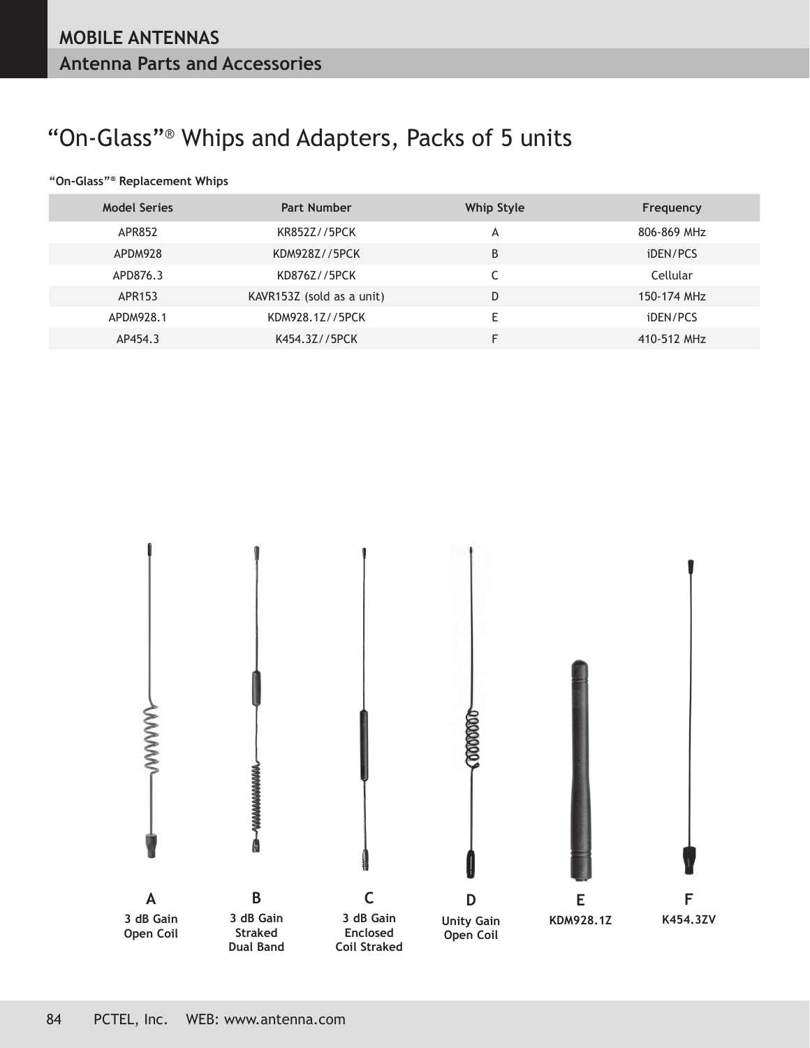# "On-Glass"® Whips and Adapters, Packs of 5 units

#### **"On-Glass"® Replacement Whips**

| <b>Model Series</b> | <b>Part Number</b>        | Whip Style | Frequency       |
|---------------------|---------------------------|------------|-----------------|
| APR852              | KR852Z//5PCK              | А          | 806-869 MHz     |
| APDM928             | KDM928Z//5PCK             | B          | <i>iDEN/PCS</i> |
| APD876.3            | KD876Z//5PCK              |            | Cellular        |
| APR153              | KAVR153Z (sold as a unit) | D          | 150-174 MHz     |
| APDM928.1           | KDM928.1Z//5PCK           | E          | <i>iDEN/PCS</i> |
| AP454.3             | K454.3Z//5PCK             | F          | 410-512 MHz     |

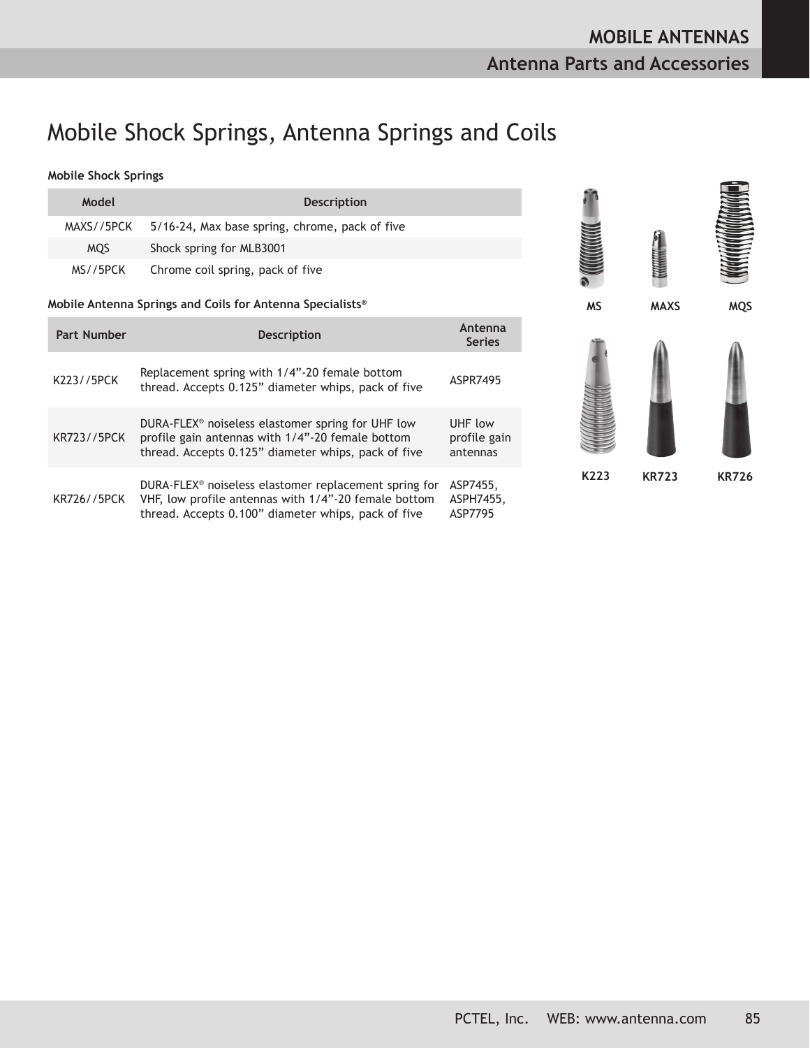### Mobile Shock Springs, Antenna Springs and Coils

#### **Mobile Shock Springs**

| <b>Mobile Shock Springs</b> |                                                                                                                                                                                  |                                     |           |              |              |
|-----------------------------|----------------------------------------------------------------------------------------------------------------------------------------------------------------------------------|-------------------------------------|-----------|--------------|--------------|
| Model                       | <b>Description</b>                                                                                                                                                               |                                     |           |              |              |
| MAXS//5PCK                  | 5/16-24, Max base spring, chrome, pack of five                                                                                                                                   |                                     |           |              |              |
| <b>MQS</b>                  | Shock spring for MLB3001                                                                                                                                                         |                                     |           |              |              |
| MS//5PCK                    | Chrome coil spring, pack of five                                                                                                                                                 |                                     |           |              |              |
|                             | Mobile Antenna Springs and Coils for Antenna Specialists®                                                                                                                        |                                     | <b>MS</b> | <b>MAXS</b>  | <b>MQS</b>   |
| <b>Part Number</b>          | <b>Description</b>                                                                                                                                                               | Antenna<br><b>Series</b>            |           |              |              |
| K223//5PCK                  | Replacement spring with 1/4"-20 female bottom<br>thread. Accepts 0.125" diameter whips, pack of five                                                                             | ASPR7495                            |           |              |              |
| <b>KR723//5PCK</b>          | DURA-FLEX <sup>®</sup> noiseless elastomer spring for UHF low<br>profile gain antennas with 1/4"-20 female bottom<br>thread. Accepts 0.125" diameter whips, pack of five         | UHF low<br>profile gain<br>antennas |           |              |              |
| <b>KR726//5PCK</b>          | DURA-FLEX <sup>®</sup> noiseless elastomer replacement spring for<br>VHF, low profile antennas with 1/4"-20 female bottom<br>thread. Accepts 0.100" diameter whips, pack of five | ASP7455,<br>ASPH7455,<br>ASP7795    | K223      | <b>KR723</b> | <b>KR726</b> |